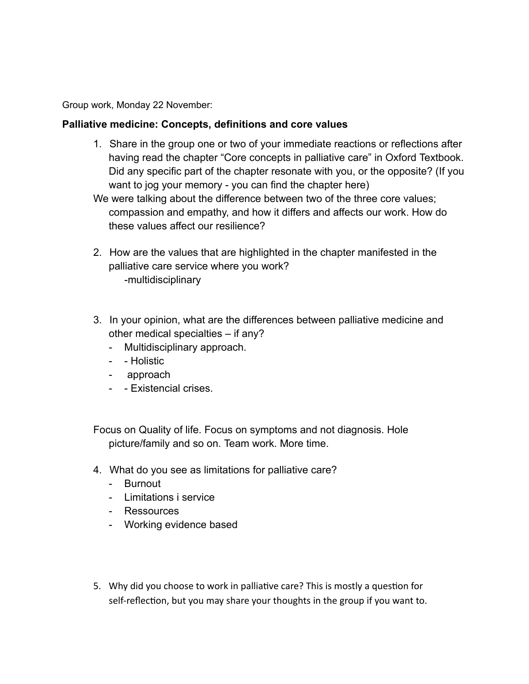Group work, Monday 22 November:

## **Palliative medicine: Concepts, definitions and core values**

- 1. Share in the group one or two of your immediate reactions or reflections after having read the chapter "Core concepts in palliative care" in Oxford Textbook. Did any specific part of the chapter resonate with you, or the opposite? (If you want to jog your memory - you can find the chapter here)
- We were talking about the difference between two of the three core values; compassion and empathy, and how it differs and affects our work. How do these values affect our resilience?
- 2. How are the values that are highlighted in the chapter manifested in the palliative care service where you work? -multidisciplinary
- 3. In your opinion, what are the differences between palliative medicine and other medical specialties – if any?
	- Multidisciplinary approach.
	- - Holistic
	- approach
	- - Existencial crises.

Focus on Quality of life. Focus on symptoms and not diagnosis. Hole picture/family and so on. Team work. More time.

- 4. What do you see as limitations for palliative care?
	- Burnout
	- Limitations i service
	- Ressources
	- Working evidence based
- 5. Why did you choose to work in palliative care? This is mostly a question for self-reflection, but you may share your thoughts in the group if you want to.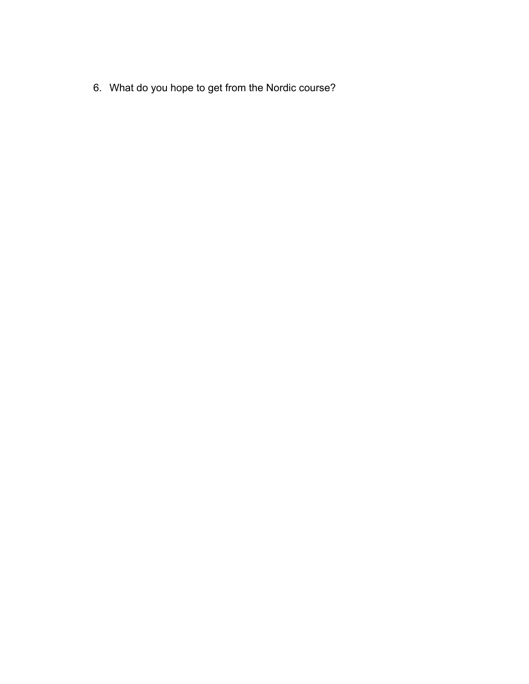6. What do you hope to get from the Nordic course?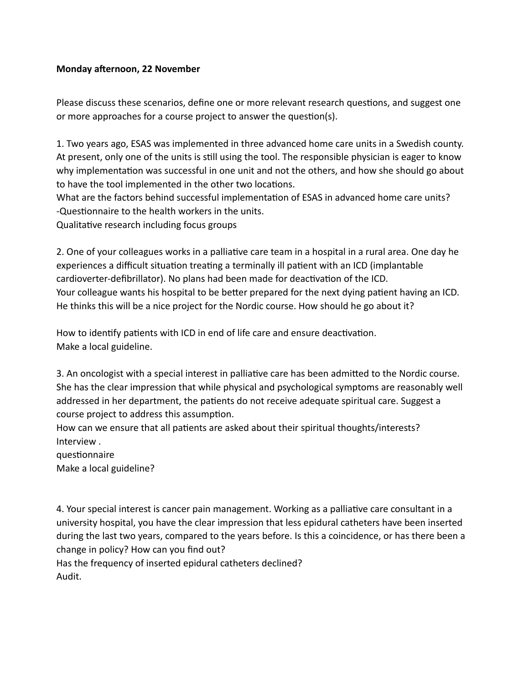## **Monday afternoon, 22 November**

Please discuss these scenarios, define one or more relevant research questions, and suggest one or more approaches for a course project to answer the question(s).

1. Two years ago, ESAS was implemented in three advanced home care units in a Swedish county. At present, only one of the units is still using the tool. The responsible physician is eager to know why implementation was successful in one unit and not the others, and how she should go about to have the tool implemented in the other two locations.

What are the factors behind successful implementation of ESAS in advanced home care units? -Questionnaire to the health workers in the units.

Qualitative research including focus groups

2. One of your colleagues works in a palliative care team in a hospital in a rural area. One day he experiences a difficult situation treating a terminally ill patient with an ICD (implantable cardioverter-defibrillator). No plans had been made for deactivation of the ICD. Your colleague wants his hospital to be better prepared for the next dying patient having an ICD. He thinks this will be a nice project for the Nordic course. How should he go about it?

How to identify patients with ICD in end of life care and ensure deactivation. Make a local guideline.

3. An oncologist with a special interest in palliative care has been admitted to the Nordic course. She has the clear impression that while physical and psychological symptoms are reasonably well addressed in her department, the patients do not receive adequate spiritual care. Suggest a course project to address this assumption.

How can we ensure that all patients are asked about their spiritual thoughts/interests? Interview .

questionnaire

Make a local guideline?

4. Your special interest is cancer pain management. Working as a palliative care consultant in a university hospital, you have the clear impression that less epidural catheters have been inserted during the last two years, compared to the years before. Is this a coincidence, or has there been a change in policy? How can you find out?

Has the frequency of inserted epidural catheters declined? Audit.